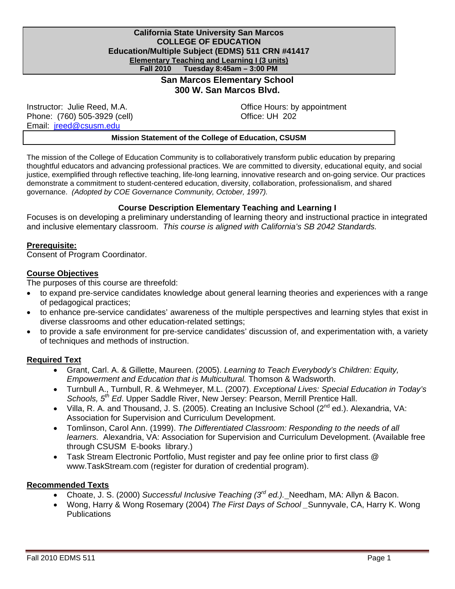# **California State University San Marcos COLLEGE OF EDUCATION Education/Multiple Subject (EDMS) 511 CRN #41417 Elementary Teaching and Learning I (3 units) Fall 2010 Tuesday 8:45am – 3:00 PM**

# **San Marcos Elementary School 300 W. San Marcos Blvd.**

Instructor: Julie Reed, M.A. Email: *jreed@csusm.edu* Phone: (760) 505-3929 (cell) Change Control Control Control Control Control Control Control Control Control Control Control Control Control Control Control Control Control Control Control Control Control Control Control Co

Office Hours: by appointment

# **Mission Statement of the College of Education, CSUSM**

The mission of the College of Education Community is to collaboratively transform public education by preparing thoughtful educators and advancing professional practices. We are committed to diversity, educational equity, and social justice, exemplified through reflective teaching, life-long learning, innovative research and on-going service. Our practices demonstrate a commitment to student-centered education, diversity, collaboration, professionalism, and shared governance. *(Adopted by COE Governance Community, October, 1997).* 

# **Course Description Elementary Teaching and Learning I**

Focuses is on developing a preliminary understanding of learning theory and instructional practice in integrated and inclusive elementary classroom. *This course is aligned with California's SB 2042 Standards.* 

# **Prerequisite:**

Consent of Program Coordinator.

# **Course Objectives**

The purposes of this course are threefold:

- to expand pre-service candidates knowledge about general learning theories and experiences with a range of pedagogical practices;
- to enhance pre-service candidates' awareness of the multiple perspectives and learning styles that exist in diverse classrooms and other education-related settings;
- to provide a safe environment for pre-service candidates' discussion of, and experimentation with, a variety of techniques and methods of instruction.

# **Required Text**

- Grant, Carl. A. & Gillette, Maureen. (2005). *Learning to Teach Everybody's Children: Equity, Empowerment and Education that is Multicultural.* Thomson & Wadsworth.
- Turnbull A., Turnbull, R. & Wehmeyer, M.L. (2007). *Exceptional Lives: Special Education in Today's Schools, 5th Ed*. Upper Saddle River, New Jersey: Pearson, Merrill Prentice Hall.
- Villa, R. A. and Thousand, J. S. (2005). Creating an Inclusive School ( $2^{nd}$  ed.). Alexandria, VA: Association for Supervision and Curriculum Development.
- Tomlinson, Carol Ann. (1999). *The Differentiated Classroom: Responding to the needs of all learners.* Alexandria, VA: Association for Supervision and Curriculum Development. (Available free through CSUSM E-books library.)
- Task Stream Electronic Portfolio, Must register and pay fee online prior to first class @ www.TaskStream.com (register for duration of credential program).

# **Recommended Texts**

- Choate, J. S. (2000) *Successful Inclusive Teaching (3rd ed.).* Needham, MA: Allyn & Bacon.
- Wong, Harry & Wong Rosemary (2004) *The First Days of School \_*Sunnyvale, CA, Harry K. Wong **Publications**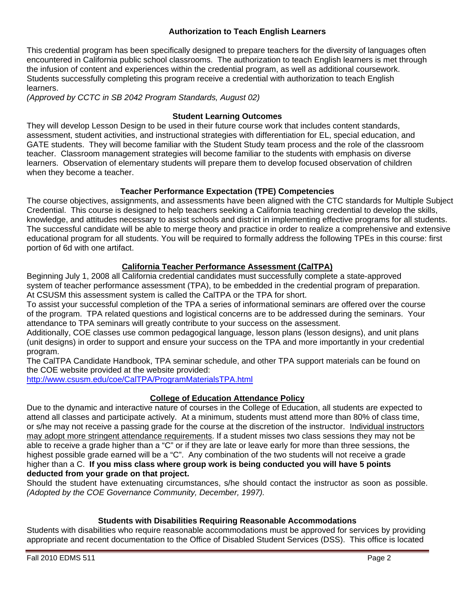# **Authorization to Teach English Learners**

This credential program has been specifically designed to prepare teachers for the diversity of languages often encountered in California public school classrooms. The authorization to teach English learners is met through the infusion of content and experiences within the credential program, as well as additional coursework. Students successfully completing this program receive a credential with authorization to teach English learners.

*(Approved by CCTC in SB 2042 Program Standards, August 02)* 

# **Student Learning Outcomes**

They will develop Lesson Design to be used in their future course work that includes content standards, assessment, student activities, and instructional strategies with differentiation for EL, special education, and GATE students. They will become familiar with the Student Study team process and the role of the classroom teacher. Classroom management strategies will become familiar to the students with emphasis on diverse learners. Observation of elementary students will prepare them to develop focused observation of children when they become a teacher.

# **Teacher Performance Expectation (TPE) Competencies**

The course objectives, assignments, and assessments have been aligned with the CTC standards for Multiple Subject Credential. This course is designed to help teachers seeking a California teaching credential to develop the skills, knowledge, and attitudes necessary to assist schools and district in implementing effective programs for all students. The successful candidate will be able to merge theory and practice in order to realize a comprehensive and extensive educational program for all students. You will be required to formally address the following TPEs in this course: first portion of 6d with one artifact.

# **California Teacher Performance Assessment (CalTPA)**

system of teacher performance assessment (TPA), to be embedded in the credential program of preparation.<br>At CSUSM this assessment system is called the CalTPA or the TPA for short. Beginning July 1, 2008 all California credential candidates must successfully complete a state-approved

To assist your successful completion of the TPA a series of informational seminars are offered over the course of the program. TPA related questions and logistical concerns are to be addressed during the seminars. Your attendance to TPA seminars will greatly contribute to your success on the assessment.

Additionally, COE classes use common pedagogical language, lesson plans (lesson designs), and unit plans (unit designs) in order to support and ensure your success on the TPA and more importantly in your credential program.

The CalTPA Candidate Handbook, TPA seminar schedule, and other TPA support materials can be found on the COE website provided at the website provided:

http://www.csusm.edu/coe/CalTPA/ProgramMaterialsTPA.html

# **College of Education Attendance Policy**

Due to the dynamic and interactive nature of courses in the College of Education, all students are expected to attend all classes and participate actively. At a minimum, students must attend more than 80% of class time, or s/he may not receive a passing grade for the course at the discretion of the instructor. Individual instructors may adopt more stringent attendance requirements. If a student misses two class sessions they may not be able to receive a grade higher than a "C" or if they are late or leave early for more than three sessions, the highest possible grade earned will be a "C". Any combination of the two students will not receive a grade higher than a C. **If you miss class where group work is being conducted you will have 5 points deducted from your grade on that project.** 

 Should the student have extenuating circumstances, s/he should contact the instructor as soon as possible. *(Adopted by the COE Governance Community, December, 1997).* 

# **Students with Disabilities Requiring Reasonable Accommodations**

Students with disabilities who require reasonable accommodations must be approved for services by providing appropriate and recent documentation to the Office of Disabled Student Services (DSS). This office is located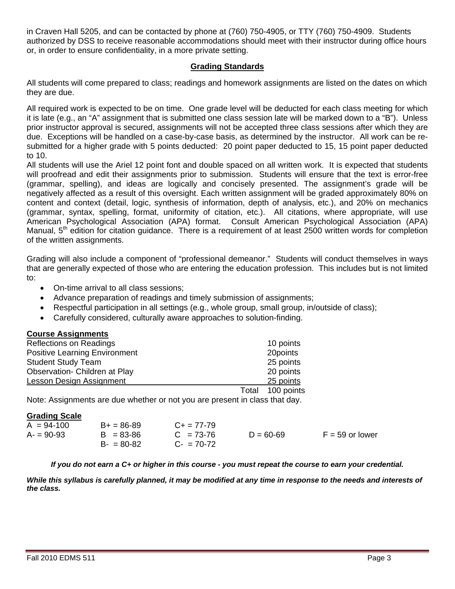in Craven Hall 5205, and can be contacted by phone at (760) 750-4905, or TTY (760) 750-4909. Students authorized by DSS to receive reasonable accommodations should meet with their instructor during office hours or, in order to ensure confidentiality, in a more private setting.

# **Grading Standards**

All students will come prepared to class; readings and homework assignments are listed on the dates on which they are due.

All required work is expected to be on time. One grade level will be deducted for each class meeting for which it is late (e.g., an "A" assignment that is submitted one class session late will be marked down to a "B"). Unless prior instructor approval is secured, assignments will not be accepted three class sessions after which they are due. Exceptions will be handled on a case-by-case basis, as determined by the instructor. All work can be resubmitted for a higher grade with 5 points deducted: 20 point paper deducted to 15, 15 point paper deducted to 10.

All students will use the Ariel 12 point font and double spaced on all written work. It is expected that students will proofread and edit their assignments prior to submission. Students will ensure that the text is error-free (grammar, spelling), and ideas are logically and concisely presented. The assignment's grade will be negatively affected as a result of this oversight. Each written assignment will be graded approximately 80% on content and context (detail, logic, synthesis of information, depth of analysis, etc.), and 20% on mechanics (grammar, syntax, spelling, format, uniformity of citation, etc.). All citations, where appropriate, will use American Psychological Association (APA) format. Consult American Psychological Association (APA) Manual,  $5<sup>th</sup>$  edition for citation guidance. There is a requirement of at least 2500 written words for completion of the written assignments.

Grading will also include a component of "professional demeanor." Students will conduct themselves in ways that are generally expected of those who are entering the education profession. This includes but is not limited to:

- On-time arrival to all class sessions;
- Advance preparation of readings and timely submission of assignments;
- Respectful participation in all settings (e.g., whole group, small group, in/outside of class);
- Carefully considered, culturally aware approaches to solution-finding.

# **Course Assignments**

| <b>Reflections on Readings</b>       |       | 10 points  |
|--------------------------------------|-------|------------|
| <b>Positive Learning Environment</b> |       | 20points   |
| <b>Student Study Team</b>            |       | 25 points  |
| Observation- Children at Play        |       | 20 points  |
| Lesson Design Assignment             |       | 25 points  |
|                                      | Total | 100 points |

Note: Assignments are due whether or not you are present in class that day.

| <b>Grading Scale</b> |               |                     |               |                   |
|----------------------|---------------|---------------------|---------------|-------------------|
| $A = 94-100$         | $B+ = 86-89$  | $C_{\pm} = 77 - 79$ |               |                   |
| $A = 90-93$          | $B = 83 - 86$ | $C = 73-76$         | $D = 60 - 69$ | $F = 59$ or lower |
|                      | $B - 80 - 82$ | $C - 70-72$         |               |                   |

*If you do not earn a C+ or higher in this course - you must repeat the course to earn your credential.* 

*While this syllabus is carefully planned, it may be modified at any time in response to the needs and interests of the class.*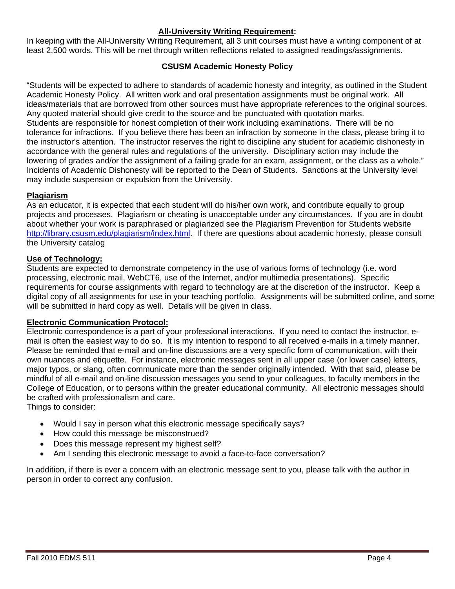# **All-University Writing Requirement:**

In keeping with the All-University Writing Requirement, all 3 unit courses must have a writing component of at least 2,500 words. This will be met through written reflections related to assigned readings/assignments.

# **CSUSM Academic Honesty Policy**

"Students will be expected to adhere to standards of academic honesty and integrity, as outlined in the Student Academic Honesty Policy. All written work and oral presentation assignments must be original work. All ideas/materials that are borrowed from other sources must have appropriate references to the original sources. Any quoted material should give credit to the source and be punctuated with quotation marks. Students are responsible for honest completion of their work including examinations. There will be no tolerance for infractions. If you believe there has been an infraction by someone in the class, please bring it to the instructor's attention. The instructor reserves the right to discipline any student for academic dishonesty in accordance with the general rules and regulations of the university. Disciplinary action may include the lowering of grades and/or the assignment of a failing grade for an exam, assignment, or the class as a whole." Incidents of Academic Dishonesty will be reported to the Dean of Students. Sanctions at the University level may include suspension or expulsion from the University.

# **Plagiarism**

As an educator, it is expected that each student will do his/her own work, and contribute equally to group projects and processes. Plagiarism or cheating is unacceptable under any circumstances. If you are in doubt about whether your work is paraphrased or plagiarized see the Plagiarism Prevention for Students website http://library.csusm.edu/plagiarism/index.html. If there are questions about academic honesty, please consult the University catalog

# **Use of Technology:**

Students are expected to demonstrate competency in the use of various forms of technology (i.e. word processing, electronic mail, WebCT6, use of the Internet, and/or multimedia presentations). Specific requirements for course assignments with regard to technology are at the discretion of the instructor. Keep a digital copy of all assignments for use in your teaching portfolio. Assignments will be submitted online, and some will be submitted in hard copy as well. Details will be given in class.

# **Electronic Communication Protocol:**

Electronic correspondence is a part of your professional interactions. If you need to contact the instructor, email is often the easiest way to do so. It is my intention to respond to all received e-mails in a timely manner. Please be reminded that e-mail and on-line discussions are a very specific form of communication, with their own nuances and etiquette. For instance, electronic messages sent in all upper case (or lower case) letters, major typos, or slang, often communicate more than the sender originally intended. With that said, please be mindful of all e-mail and on-line discussion messages you send to your colleagues, to faculty members in the College of Education, or to persons within the greater educational community. All electronic messages should be crafted with professionalism and care.

Things to consider:

- Would I say in person what this electronic message specifically says?
- How could this message be misconstrued?
- Does this message represent my highest self?
- Am I sending this electronic message to avoid a face-to-face conversation?

In addition, if there is ever a concern with an electronic message sent to you, please talk with the author in person in order to correct any confusion.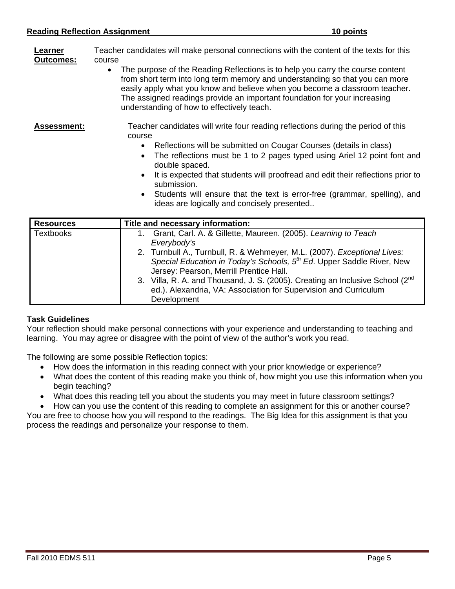**Learner** Teacher candidates will make personal connections with the content of the texts for this **Outcomes:** course

• The purpose of the Reading Reflections is to help you carry the course content from short term into long term memory and understanding so that you can more easily apply what you know and believe when you become a classroom teacher. The assigned readings provide an important foundation for your increasing understanding of how to effectively teach.

# **Assessment:** Teacher candidates will write four reading reflections during the period of this course

- Reflections will be submitted on Cougar Courses (details in class)
- The reflections must be 1 to 2 pages typed using Ariel 12 point font and double spaced.
- It is expected that students will proofread and edit their reflections prior to submission.
- Students will ensure that the text is error-free (grammar, spelling), and ideas are logically and concisely presented..

| <b>Resources</b> | Title and necessary information:                                                                                                                                                                         |
|------------------|----------------------------------------------------------------------------------------------------------------------------------------------------------------------------------------------------------|
| <b>Textbooks</b> | Grant, Carl. A. & Gillette, Maureen. (2005). Learning to Teach<br>Everybody's                                                                                                                            |
|                  | 2. Turnbull A., Turnbull, R. & Wehmeyer, M.L. (2007). Exceptional Lives:<br>Special Education in Today's Schools, 5 <sup>th</sup> Ed. Upper Saddle River, New<br>Jersey: Pearson, Merrill Prentice Hall. |
|                  | 3. Villa, R. A. and Thousand, J. S. (2005). Creating an Inclusive School (2 <sup>nd</sup> )<br>ed.). Alexandria, VA: Association for Supervision and Curriculum<br>Development                           |

# **Task Guidelines**

Your reflection should make personal connections with your experience and understanding to teaching and learning. You may agree or disagree with the point of view of the author's work you read.

The following are some possible Reflection topics:

- How does the information in this reading connect with your prior knowledge or experience?
- What does the content of this reading make you think of, how might you use this information when you begin teaching?
- What does this reading tell you about the students you may meet in future classroom settings?

• How can you use the content of this reading to complete an assignment for this or another course?

You are free to choose how you will respond to the readings. The Big Idea for this assignment is that you process the readings and personalize your response to them.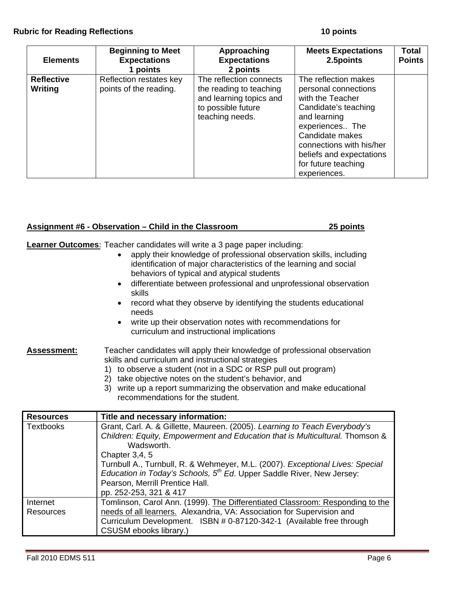# **Rubric for Reading Reflections 10 points**

| <b>Elements</b>              | <b>Beginning to Meet</b><br><b>Expectations</b><br>1 points | Approaching<br><b>Expectations</b><br>2 points                                                                         | <b>Meets Expectations</b><br>2.5points                                                                                                                                                                                                        | <b>Total</b><br><b>Points</b> |
|------------------------------|-------------------------------------------------------------|------------------------------------------------------------------------------------------------------------------------|-----------------------------------------------------------------------------------------------------------------------------------------------------------------------------------------------------------------------------------------------|-------------------------------|
| <b>Reflective</b><br>Writing | Reflection restates key<br>points of the reading.           | The reflection connects<br>the reading to teaching<br>and learning topics and<br>to possible future<br>teaching needs. | The reflection makes<br>personal connections<br>with the Teacher<br>Candidate's teaching<br>and learning<br>experiences The<br>Candidate makes<br>connections with his/her<br>beliefs and expectations<br>for future teaching<br>experiences. |                               |

# **Assignment #6 - Observation – Child in the Classroom 25 points**

**Learner Outcomes:** Teacher candidates will write a 3 page paper including:

- apply their knowledge of professional observation skills, including identification of major characteristics of the learning and social behaviors of typical and atypical students
- differentiate between professional and unprofessional observation skills
- record what they observe by identifying the students educational needs
- write up their observation notes with recommendations for curriculum and instructional implications

# skills and curriculum and instructional strategies **Assessment:** Teacher candidates will apply their knowledge of professional observation

- 1) to observe a student (not in a SDC or RSP pull out program)
- 2) take objective notes on the student's behavior, and
- 3) write up a report summarizing the observation and make educational recommendations for the student.

| <b>Resources</b> | Title and necessary information:                                              |  |  |  |
|------------------|-------------------------------------------------------------------------------|--|--|--|
| <b>Textbooks</b> | Grant, Carl. A. & Gillette, Maureen. (2005). Learning to Teach Everybody's    |  |  |  |
|                  | Children: Equity, Empowerment and Education that is Multicultural. Thomson &  |  |  |  |
|                  | Wadsworth.                                                                    |  |  |  |
|                  | Chapter 3,4, 5                                                                |  |  |  |
|                  | Turnbull A., Turnbull, R. & Wehmeyer, M.L. (2007). Exceptional Lives: Special |  |  |  |
|                  | Education in Today's Schools, $5th$ Ed. Upper Saddle River, New Jersey:       |  |  |  |
|                  | Pearson, Merrill Prentice Hall.                                               |  |  |  |
|                  | pp. 252-253, 321 & 417                                                        |  |  |  |
| Internet         | Tomlinson, Carol Ann. (1999). The Differentiated Classroom: Responding to the |  |  |  |
| Resources        | needs of all learners. Alexandria, VA: Association for Supervision and        |  |  |  |
|                  | Curriculum Development. ISBN # 0-87120-342-1 (Available free through          |  |  |  |
|                  | CSUSM ebooks library.)                                                        |  |  |  |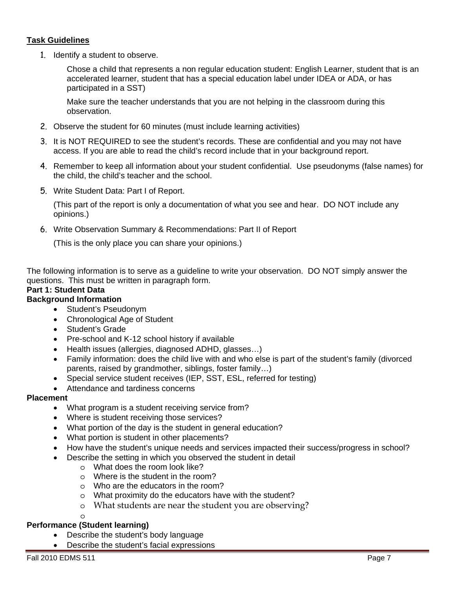# **Task Guidelines**

1. Identify a student to observe.

Chose a child that represents a non regular education student: English Learner, student that is an accelerated learner, student that has a special education label under IDEA or ADA, or has participated in a SST)

Make sure the teacher understands that you are not helping in the classroom during this observation.

- 2. Observe the student for 60 minutes (must include learning activities)
- 3. It is NOT REQUIRED to see the student's records. These are confidential and you may not have access. If you are able to read the child's record include that in your background report.
- 4. Remember to keep all information about your student confidential. Use pseudonyms (false names) for the child, the child's teacher and the school.
- 5. Write Student Data: Part I of Report.

(This part of the report is only a documentation of what you see and hear. DO NOT include any opinions.)

6. Write Observation Summary & Recommendations: Part II of Report

(This is the only place you can share your opinions.)

The following information is to serve as a guideline to write your observation. DO NOT simply answer the questions. This must be written in paragraph form.

# **Part 1: Student Data**

# **Background Information**

- Student's Pseudonym
- Chronological Age of Student
- Student's Grade
- Pre-school and K-12 school history if available
- Health issues (allergies, diagnosed ADHD, glasses…)
- Family information: does the child live with and who else is part of the student's family (divorced parents, raised by grandmother, siblings, foster family…)
- Special service student receives (IEP, SST, ESL, referred for testing)
- Attendance and tardiness concerns

# **Placement**

- What program is a student receiving service from?
- Where is student receiving those services?
- What portion of the day is the student in general education?
- What portion is student in other placements?
- How have the student's unique needs and services impacted their success/progress in school?
- Describe the setting in which you observed the student in detail
	- o What does the room look like?
	- o Where is the student in the room?
	- o Who are the educators in the room?
	- o What proximity do the educators have with the student?
	- o What students are near the student you are observing?

## o **Performance (Student learning)**

- Describe the student's body language
- Describe the student's facial expressions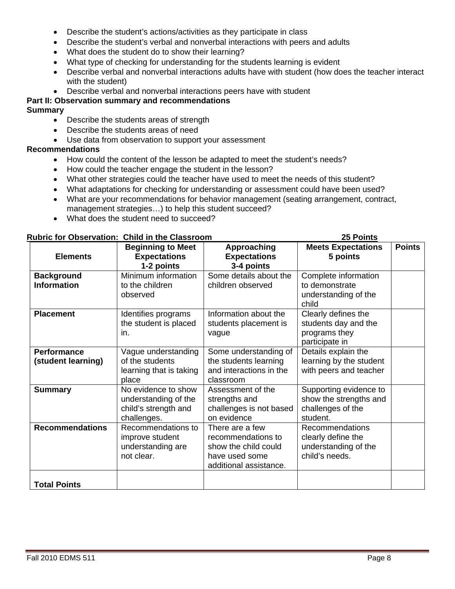- Describe the student's actions/activities as they participate in class
- Describe the student's verbal and nonverbal interactions with peers and adults
- What does the student do to show their learning?
- What type of checking for understanding for the students learning is evident
- Describe verbal and nonverbal interactions adults have with student (how does the teacher interact with the student)
- Describe verbal and nonverbal interactions peers have with student

# **Part II: Observation summary and recommendations**

# **Summary**

- Describe the students areas of strength
- Describe the students areas of need
- Use data from observation to support your assessment

# **Recommendations**

- How could the content of the lesson be adapted to meet the student's needs?
- How could the teacher engage the student in the lesson?
- What other strategies could the teacher have used to meet the needs of this student?
- What adaptations for checking for understanding or assessment could have been used?
- What are your recommendations for behavior management (seating arrangement, contract, management strategies…) to help this student succeed?
- What does the student need to succeed?

## **Rubric for Observation: Child in the Classroom 25 Points**

| <b>Elements</b>                          | <b>Beginning to Meet</b><br><b>Expectations</b><br>1-2 points                      | <b>Approaching</b><br><b>Expectations</b><br>3-4 points                                                   | <b>Meets Expectations</b><br>5 points                                             | <b>Points</b> |
|------------------------------------------|------------------------------------------------------------------------------------|-----------------------------------------------------------------------------------------------------------|-----------------------------------------------------------------------------------|---------------|
| <b>Background</b><br><b>Information</b>  | Minimum information<br>to the children<br>observed                                 | Some details about the<br>children observed                                                               | Complete information<br>to demonstrate<br>understanding of the<br>child           |               |
| <b>Placement</b>                         | Identifies programs<br>the student is placed<br>in.                                | Information about the<br>students placement is<br>vague                                                   | Clearly defines the<br>students day and the<br>programs they<br>participate in    |               |
| <b>Performance</b><br>(student learning) | Vague understanding<br>of the students<br>learning that is taking<br>place         | Some understanding of<br>the students learning<br>and interactions in the<br>classroom                    | Details explain the<br>learning by the student<br>with peers and teacher          |               |
| <b>Summary</b>                           | No evidence to show<br>understanding of the<br>child's strength and<br>challenges. | Assessment of the<br>strengths and<br>challenges is not based<br>on evidence                              | Supporting evidence to<br>show the strengths and<br>challenges of the<br>student. |               |
| <b>Recommendations</b>                   | Recommendations to<br>improve student<br>understanding are<br>not clear.           | There are a few<br>recommendations to<br>show the child could<br>have used some<br>additional assistance. | Recommendations<br>clearly define the<br>understanding of the<br>child's needs.   |               |
| <b>Total Points</b>                      |                                                                                    |                                                                                                           |                                                                                   |               |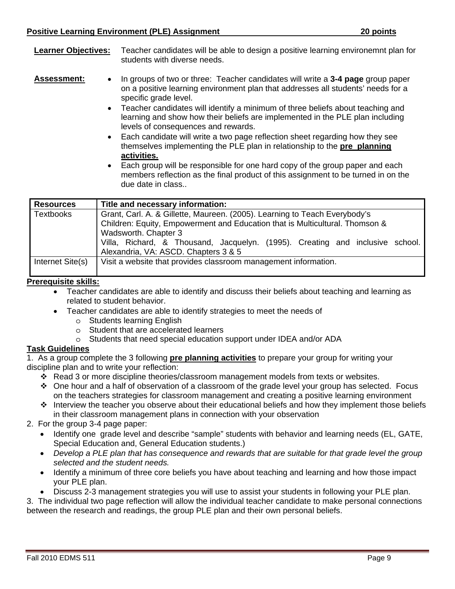**Learner Objectives:** Teacher candidates will be able to design a positive learning environemnt plan for students with diverse needs.

- 
- **Assessment:**  In groups of two or three: Teacher candidates will write a **3-4 page** group paper on a positive learning environment plan that addresses all students' needs for a specific grade level.

- Teacher candidates will identify a minimum of three beliefs about teaching and learning and show how their beliefs are implemented in the PLE plan including levels of consequences and rewards.
- **activities.**  Each candidate will write a two page reflection sheet regarding how they see themselves implementing the PLE plan in relationship to the **pre planning**
- Each group will be responsible for one hard copy of the group paper and each members reflection as the final product of this assignment to be turned in on the due date in class..

| <b>Resources</b> | Title and necessary information:                                                                                                                                                                                                                                                                            |  |  |
|------------------|-------------------------------------------------------------------------------------------------------------------------------------------------------------------------------------------------------------------------------------------------------------------------------------------------------------|--|--|
| <b>Textbooks</b> | Grant, Carl. A. & Gillette, Maureen. (2005). Learning to Teach Everybody's<br>Children: Equity, Empowerment and Education that is Multicultural. Thomson &<br>Wadsworth. Chapter 3<br>Villa, Richard, & Thousand, Jacquelyn. (1995). Creating and inclusive school.<br>Alexandria, VA: ASCD. Chapters 3 & 5 |  |  |
| Internet Site(s) | Visit a website that provides classroom management information.                                                                                                                                                                                                                                             |  |  |

# **Prerequisite skills:**

- Teacher candidates are able to identify and discuss their beliefs about teaching and learning as related to student behavior.
- Teacher candidates are able to identify strategies to meet the needs of
	- o Students learning English
	- o Student that are accelerated learners
	- o Students that need special education support under IDEA and/or ADA

# **Task Guidelines**

1. As a group complete the 3 following **pre planning activities** to prepare your group for writing your discipline plan and to write your reflection:

- Read 3 or more discipline theories/classroom management models from texts or websites.
- One hour and a half of observation of a classroom of the grade level your group has selected. Focus on the teachers strategies for classroom management and creating a positive learning environment
- Interview the teacher you observe about their educational beliefs and how they implement those beliefs in their classroom management plans in connection with your observation
- 2. For the group 3-4 page paper:
	- Special Education and, General Education students.) • Identify one grade level and describe "sample" students with behavior and learning needs (EL, GATE,
	- *Develop a PLE plan that has consequence and rewards that are suitable for that grade level the group selected and the student needs.*
	- Identify a minimum of three core beliefs you have about teaching and learning and how those impact your PLE plan.
	- Discuss 2-3 management strategies you will use to assist your students in following your PLE plan.

3. The individual two page reflection will allow the individual teacher candidate to make personal connections between the research and readings, the group PLE plan and their own personal beliefs.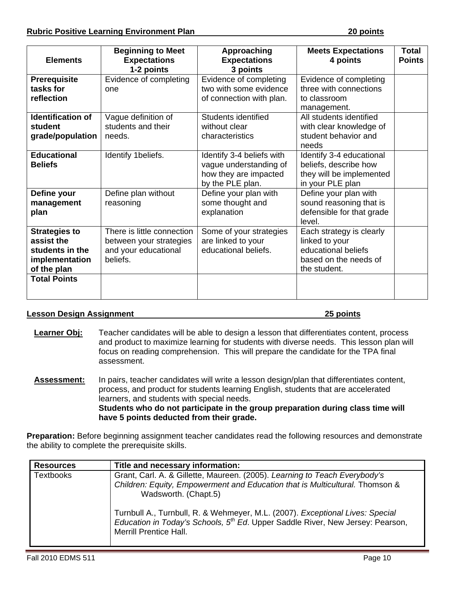| <b>Elements</b>                                                                                               | <b>Beginning to Meet</b><br><b>Expectations</b><br>1-2 points                             | Approaching<br><b>Expectations</b><br>3 points                                                   | <b>Meets Expectations</b><br>4 points                                                                      | <b>Total</b><br><b>Points</b> |
|---------------------------------------------------------------------------------------------------------------|-------------------------------------------------------------------------------------------|--------------------------------------------------------------------------------------------------|------------------------------------------------------------------------------------------------------------|-------------------------------|
| <b>Prerequisite</b><br>tasks for<br>reflection                                                                | Evidence of completing<br>one                                                             | Evidence of completing<br>two with some evidence<br>of connection with plan.                     | Evidence of completing<br>three with connections<br>to classroom<br>management.                            |                               |
| <b>Identification of</b><br>student<br>grade/population                                                       | Vague definition of<br>students and their<br>needs.                                       | Students identified<br>without clear<br>characteristics                                          | All students identified<br>with clear knowledge of<br>student behavior and<br>needs                        |                               |
| <b>Educational</b><br><b>Beliefs</b>                                                                          | Identify 1beliefs.                                                                        | Identify 3-4 beliefs with<br>vague understanding of<br>how they are impacted<br>by the PLE plan. | Identify 3-4 educational<br>beliefs, describe how<br>they will be implemented<br>in your PLE plan          |                               |
| Define your<br>management<br>plan                                                                             | Define plan without<br>reasoning                                                          | Define your plan with<br>some thought and<br>explanation                                         | Define your plan with<br>sound reasoning that is<br>defensible for that grade<br>level.                    |                               |
| <b>Strategies to</b><br>assist the<br>students in the<br>implementation<br>of the plan<br><b>Total Points</b> | There is little connection<br>between your strategies<br>and your educational<br>beliefs. | Some of your strategies<br>are linked to your<br>educational beliefs.                            | Each strategy is clearly<br>linked to your<br>educational beliefs<br>based on the needs of<br>the student. |                               |
|                                                                                                               |                                                                                           |                                                                                                  |                                                                                                            |                               |

# **Lesson Design Assignment 25 points**

Learner Obj: Teacher candidates will be able to design a lesson that differentiates content, process and product to maximize learning for students with diverse needs. This lesson plan will focus on reading comprehension. This will prepare the candidate for the TPA final assessment.

have 5 points deducted from their grade. Assessment: In pairs, teacher candidates will write a lesson design/plan that differentiates content, process, and product for students learning English, students that are accelerated learners, and students with special needs. **Students who do not participate in the group preparation during class time will** 

**Preparation:** Before beginning assignment teacher candidates read the following resources and demonstrate the ability to complete the prerequisite skills.

| <b>Resources</b> | Title and necessary information:                                                                                                                                                                             |  |  |
|------------------|--------------------------------------------------------------------------------------------------------------------------------------------------------------------------------------------------------------|--|--|
| <b>Textbooks</b> | Grant, Carl. A. & Gillette, Maureen. (2005). Learning to Teach Everybody's<br>Children: Equity, Empowerment and Education that is Multicultural. Thomson &<br>Wadsworth. (Chapt.5)                           |  |  |
|                  | Turnbull A., Turnbull, R. & Wehmeyer, M.L. (2007). Exceptional Lives: Special<br>Education in Today's Schools, 5 <sup>th</sup> Ed. Upper Saddle River, New Jersey: Pearson,<br><b>Merrill Prentice Hall.</b> |  |  |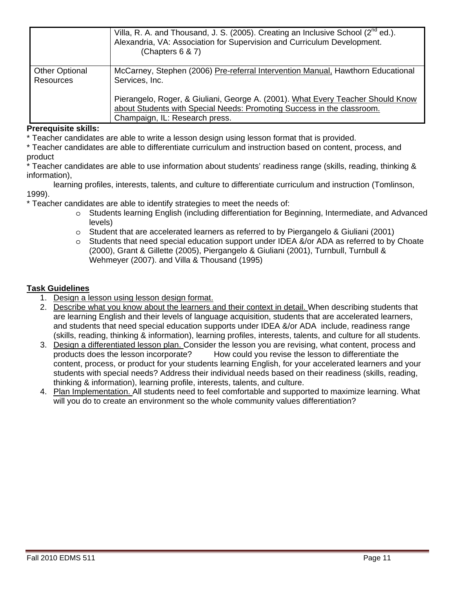|                                           | Villa, R. A. and Thousand, J. S. (2005). Creating an Inclusive School $(2^{nd}$ ed.).<br>Alexandria, VA: Association for Supervision and Curriculum Development.<br>(Chapters $6 & 7$ )     |
|-------------------------------------------|---------------------------------------------------------------------------------------------------------------------------------------------------------------------------------------------|
| <b>Other Optional</b><br><b>Resources</b> | McCarney, Stephen (2006) Pre-referral Intervention Manual, Hawthorn Educational<br>Services, Inc.                                                                                           |
|                                           | Pierangelo, Roger, & Giuliani, George A. (2001). What Every Teacher Should Know<br>about Students with Special Needs: Promoting Success in the classroom.<br>Champaign, IL: Research press. |

# **Prerequisite skills:**

\* Teacher candidates are able to write a lesson design using lesson format that is provided.

\* Teacher candidates are able to differentiate curriculum and instruction based on content, process, and product

\* Teacher candidates are able to use information about students' readiness range (skills, reading, thinking & information),

learning profiles, interests, talents, and culture to differentiate curriculum and instruction (Tomlinson, 1999).

\* Teacher candidates are able to identify strategies to meet the needs of:

- o Students learning English (including differentiation for Beginning, Intermediate, and Advanced levels)
- $\circ$  Student that are accelerated learners as referred to by Piergangelo & Giuliani (2001)
- o Students that need special education support under IDEA &/or ADA as referred to by Choate (2000), Grant & Gillette (2005), Piergangelo & Giuliani (2001), Turnbull, Turnbull & Wehmeyer (2007). and Villa & Thousand (1995)

# **Task Guidelines**

- 1. Design a lesson using lesson design format.
- 2. Describe what you know about the learners and their context in detail. When describing students that are learning English and their levels of language acquisition, students that are accelerated learners, and students that need special education supports under IDEA &/or ADA include, readiness range (skills, reading, thinking & information), learning profiles, interests, talents, and culture for all students.
- 3. Design a differentiated lesson plan. Consider the lesson you are revising, what content, process and products does the lesson incorporate? How could you revise the lesson to differentiate the content, process, or product for your students learning English, for your accelerated learners and your students with special needs? Address their individual needs based on their readiness (skills, reading, thinking & information), learning profile, interests, talents, and culture.
- 4. Plan Implementation. All students need to feel comfortable and supported to maximize learning. What will you do to create an environment so the whole community values differentiation?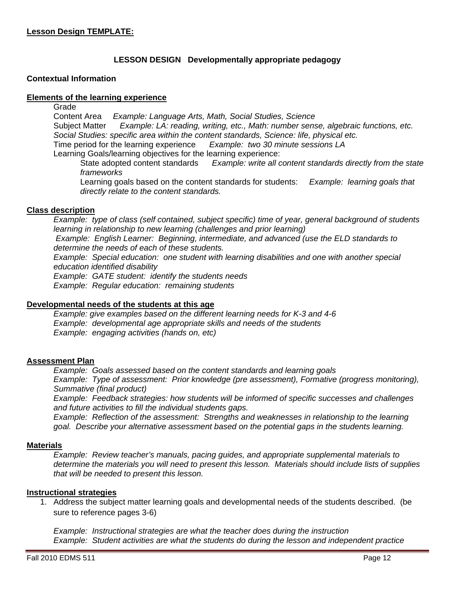# **LESSON DESIGN Developmentally appropriate pedagogy**

# **Contextual Information**

# **Elements of the learning experience**

Grade

 *Social Studies: specific area within the content standards, Science: life, physical etc.* Content Area *Example: Language Arts, Math, Social Studies, Science* Subject Matter *Example: LA: reading, writing, etc., Math: number sense, algebraic functions, etc.*  Time period for the learning experience *Example: two 30 minute sessions LA*  Learning Goals/learning objectives for the learning experience:

State adopted content standards *Example: write all content standards directly from the state frameworks* 

 Learning goals based on the content standards for students: *Example: learning goals that directly relate to the content standards.* 

# **Class description**

*Example: type of class (self contained, subject specific) time of year, general background of students learning in relationship to new learning (challenges and prior learning)*

 *Example: English Learner: Beginning, intermediate, and advanced (use the ELD standards to determine the needs of each of these students.* 

*Example: Special education: one student with learning disabilities and one with another special education identified disability* 

*Example: GATE student: identify the students needs* 

*Example: Regular education: remaining students* 

# **Developmental needs of the students at this age**

*Example: give examples based on the different learning needs for K-3 and 4-6 Example: developmental age appropriate skills and needs of the students Example: engaging activities (hands on, etc)*

# **Assessment Plan**

*Example: Goals assessed based on the content standards and learning goals Example: Type of assessment: Prior knowledge (pre assessment), Formative (progress monitoring), Summative (final product)* 

*Example: Feedback strategies: how students will be informed of specific successes and challenges and future activities to fill the individual students gaps.*

*Example: Reflection of the assessment: Strengths and weaknesses in relationship to the learning goal. Describe your alternative assessment based on the potential gaps in the students learning.*

# **Materials**

*Example: Review teacher's manuals, pacing guides, and appropriate supplemental materials to determine the materials you will need to present this lesson. Materials should include lists of supplies that will be needed to present this lesson.* 

# **Instructional strategies**

1. Address the subject matter learning goals and developmental needs of the students described. (be sure to reference pages 3-6)

*Example: Instructional strategies are what the teacher does during the instruction Example: Student activities are what the students do during the lesson and independent practice*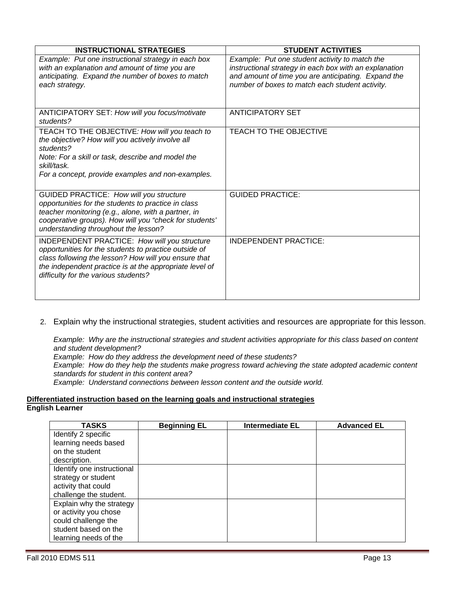| <b>INSTRUCTIONAL STRATEGIES</b>                                                                                                                                                                                                                                  | <b>STUDENT ACTIVITIES</b>                                                                                                                                                                                          |
|------------------------------------------------------------------------------------------------------------------------------------------------------------------------------------------------------------------------------------------------------------------|--------------------------------------------------------------------------------------------------------------------------------------------------------------------------------------------------------------------|
| Example: Put one instructional strategy in each box<br>with an explanation and amount of time you are<br>anticipating. Expand the number of boxes to match<br>each strategy.                                                                                     | Example: Put one student activity to match the<br>instructional strategy in each box with an explanation<br>and amount of time you are anticipating. Expand the<br>number of boxes to match each student activity. |
| ANTICIPATORY SET: How will you focus/motivate<br>students?                                                                                                                                                                                                       | <b>ANTICIPATORY SET</b>                                                                                                                                                                                            |
| TEACH TO THE OBJECTIVE: How will you teach to<br>the objective? How will you actively involve all<br>students?<br>Note: For a skill or task, describe and model the<br>skill/task<br>For a concept, provide examples and non-examples.                           | <b>TEACH TO THE OBJECTIVE</b>                                                                                                                                                                                      |
| GUIDED PRACTICE: How will you structure<br>opportunities for the students to practice in class<br>teacher monitoring (e.g., alone, with a partner, in<br>cooperative groups). How will you "check for students'<br>understanding throughout the lesson?          | <b>GUIDED PRACTICE:</b>                                                                                                                                                                                            |
| INDEPENDENT PRACTICE: How will you structure<br>opportunities for the students to practice outside of<br>class following the lesson? How will you ensure that<br>the independent practice is at the appropriate level of<br>difficulty for the various students? | <b>INDEPENDENT PRACTICE:</b>                                                                                                                                                                                       |

2. Explain why the instructional strategies, student activities and resources are appropriate for this lesson.

*Example: Why are the instructional strategies and student activities appropriate for this class based on content and student development?*

*Example: How do they address the development need of these students?*

*Example: How do they help the students make progress toward achieving the state adopted academic content standards for student in this content area?*

*Example: Understand connections between lesson content and the outside world.* 

# Differentiated instruction based on the learning goals and instructional strategies<br>English Learner

| <b>TASKS</b>               | <b>Beginning EL</b> | <b>Intermediate EL</b> | <b>Advanced EL</b> |
|----------------------------|---------------------|------------------------|--------------------|
| Identify 2 specific        |                     |                        |                    |
| learning needs based       |                     |                        |                    |
| on the student             |                     |                        |                    |
| description.               |                     |                        |                    |
| Identify one instructional |                     |                        |                    |
| strategy or student        |                     |                        |                    |
| activity that could        |                     |                        |                    |
| challenge the student.     |                     |                        |                    |
| Explain why the strategy   |                     |                        |                    |
| or activity you chose      |                     |                        |                    |
| could challenge the        |                     |                        |                    |
| student based on the       |                     |                        |                    |
| learning needs of the      |                     |                        |                    |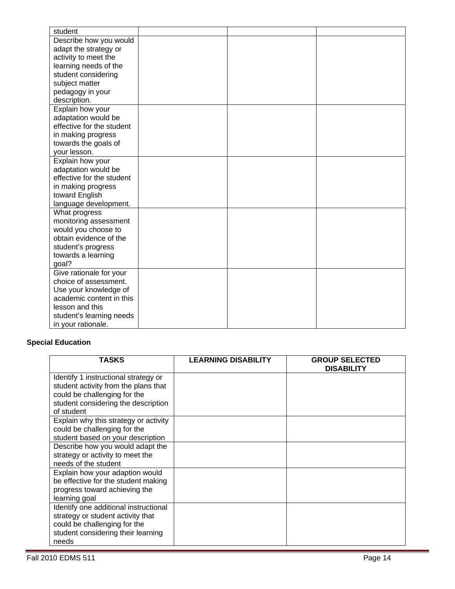| student                   |  |  |
|---------------------------|--|--|
| Describe how you would    |  |  |
| adapt the strategy or     |  |  |
| activity to meet the      |  |  |
| learning needs of the     |  |  |
| student considering       |  |  |
| subject matter            |  |  |
| pedagogy in your          |  |  |
| description.              |  |  |
| Explain how your          |  |  |
| adaptation would be       |  |  |
| effective for the student |  |  |
| in making progress        |  |  |
| towards the goals of      |  |  |
| your lesson.              |  |  |
| Explain how your          |  |  |
| adaptation would be       |  |  |
| effective for the student |  |  |
| in making progress        |  |  |
| toward English            |  |  |
| language development.     |  |  |
| What progress             |  |  |
| monitoring assessment     |  |  |
| would you choose to       |  |  |
| obtain evidence of the    |  |  |
| student's progress        |  |  |
| towards a learning        |  |  |
| goal?                     |  |  |
| Give rationale for your   |  |  |
| choice of assessment.     |  |  |
| Use your knowledge of     |  |  |
| academic content in this  |  |  |
| lesson and this           |  |  |
| student's learning needs  |  |  |
| in your rationale.        |  |  |

# **Special Education**

| TASKS                                                                        | <b>LEARNING DISABILITY</b> | <b>GROUP SELECTED</b><br><b>DISABILITY</b> |
|------------------------------------------------------------------------------|----------------------------|--------------------------------------------|
| Identify 1 instructional strategy or<br>student activity from the plans that |                            |                                            |
| could be challenging for the                                                 |                            |                                            |
| student considering the description                                          |                            |                                            |
| of student                                                                   |                            |                                            |
| Explain why this strategy or activity                                        |                            |                                            |
| could be challenging for the                                                 |                            |                                            |
| student based on your description                                            |                            |                                            |
| Describe how you would adapt the<br>strategy or activity to meet the         |                            |                                            |
| needs of the student                                                         |                            |                                            |
| Explain how your adaption would                                              |                            |                                            |
| be effective for the student making                                          |                            |                                            |
| progress toward achieving the                                                |                            |                                            |
| learning goal                                                                |                            |                                            |
| Identify one additional instructional                                        |                            |                                            |
| strategy or student activity that                                            |                            |                                            |
| could be challenging for the<br>student considering their learning           |                            |                                            |
| needs                                                                        |                            |                                            |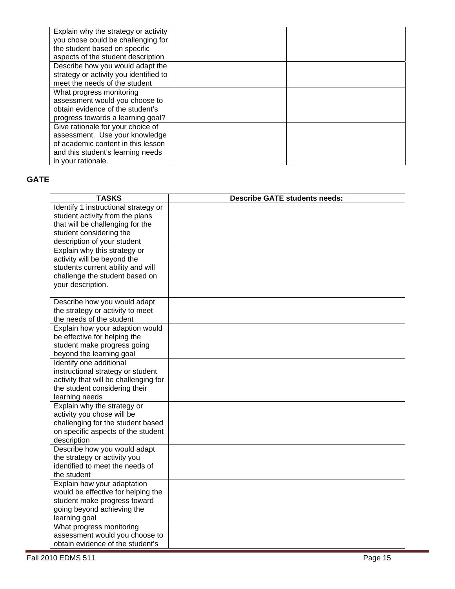| Explain why the strategy or activity   |  |
|----------------------------------------|--|
| you chose could be challenging for     |  |
| the student based on specific          |  |
| aspects of the student description     |  |
| Describe how you would adapt the       |  |
| strategy or activity you identified to |  |
| meet the needs of the student          |  |
| What progress monitoring               |  |
| assessment would you choose to         |  |
| obtain evidence of the student's       |  |
| progress towards a learning goal?      |  |
| Give rationale for your choice of      |  |
| assessment. Use your knowledge         |  |
| of academic content in this lesson     |  |
| and this student's learning needs      |  |
| in your rationale.                     |  |

# **GATE**

| <b>TASKS</b>                                                               | <b>Describe GATE students needs:</b> |
|----------------------------------------------------------------------------|--------------------------------------|
| Identify 1 instructional strategy or                                       |                                      |
| student activity from the plans                                            |                                      |
| that will be challenging for the                                           |                                      |
| student considering the                                                    |                                      |
| description of your student                                                |                                      |
| Explain why this strategy or                                               |                                      |
| activity will be beyond the                                                |                                      |
| students current ability and will                                          |                                      |
| challenge the student based on                                             |                                      |
| your description.                                                          |                                      |
|                                                                            |                                      |
| Describe how you would adapt                                               |                                      |
| the strategy or activity to meet                                           |                                      |
| the needs of the student                                                   |                                      |
| Explain how your adaption would                                            |                                      |
| be effective for helping the                                               |                                      |
| student make progress going                                                |                                      |
| beyond the learning goal                                                   |                                      |
| Identify one additional                                                    |                                      |
| instructional strategy or student<br>activity that will be challenging for |                                      |
| the student considering their                                              |                                      |
| learning needs                                                             |                                      |
| Explain why the strategy or                                                |                                      |
| activity you chose will be                                                 |                                      |
| challenging for the student based                                          |                                      |
| on specific aspects of the student                                         |                                      |
| description                                                                |                                      |
| Describe how you would adapt                                               |                                      |
| the strategy or activity you                                               |                                      |
| identified to meet the needs of                                            |                                      |
| the student                                                                |                                      |
| Explain how your adaptation                                                |                                      |
| would be effective for helping the                                         |                                      |
| student make progress toward                                               |                                      |
| going beyond achieving the                                                 |                                      |
| learning goal                                                              |                                      |
| What progress monitoring                                                   |                                      |
| assessment would you choose to                                             |                                      |
| obtain evidence of the student's                                           |                                      |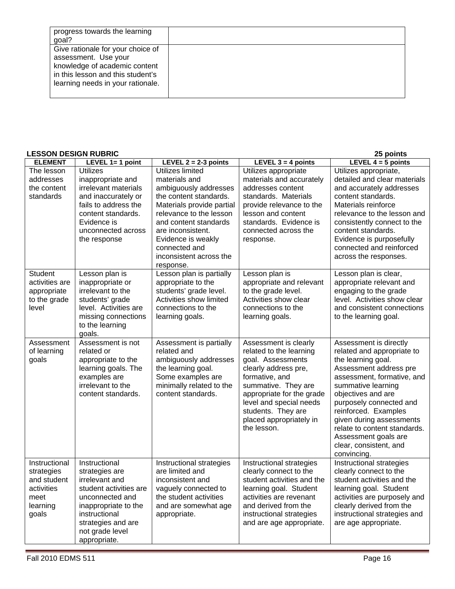| progress towards the learning<br>goal?                                                                                                                               |  |
|----------------------------------------------------------------------------------------------------------------------------------------------------------------------|--|
| Give rationale for your choice of<br>assessment. Use your<br>knowledge of academic content<br>in this lesson and this student's<br>learning needs in your rationale. |  |

# **LESSON DESIGN RUBRIC 25 points**

| <b>ELEMENT</b>                | LEVEL 1= 1 point                            | LEVEL $2 = 2-3$ points                              | LEVEL $3 = 4$ points                             | LEVEL $4 = 5$ points                              |
|-------------------------------|---------------------------------------------|-----------------------------------------------------|--------------------------------------------------|---------------------------------------------------|
| The lesson                    | <b>Utilizes</b>                             | Utilizes limited                                    | Utilizes appropriate                             | Utilizes appropriate,                             |
| addresses                     | inappropriate and                           | materials and                                       | materials and accurately                         | detailed and clear materials                      |
| the content                   | irrelevant materials                        | ambiguously addresses                               | addresses content                                | and accurately addresses                          |
| standards                     | and inaccurately or<br>fails to address the | the content standards.<br>Materials provide partial | standards. Materials<br>provide relevance to the | content standards.<br>Materials reinforce         |
|                               | content standards.                          | relevance to the lesson                             | lesson and content                               | relevance to the lesson and                       |
|                               | Evidence is                                 | and content standards                               | standards. Evidence is                           | consistently connect to the                       |
|                               | unconnected across                          | are inconsistent.                                   | connected across the                             | content standards.                                |
|                               | the response                                | Evidence is weakly                                  | response.                                        | Evidence is purposefully                          |
|                               |                                             | connected and                                       |                                                  | connected and reinforced                          |
|                               |                                             | inconsistent across the                             |                                                  | across the responses.                             |
|                               |                                             | response.                                           |                                                  |                                                   |
| <b>Student</b>                | Lesson plan is                              | Lesson plan is partially                            | Lesson plan is                                   | Lesson plan is clear,                             |
| activities are<br>appropriate | inappropriate or<br>irrelevant to the       | appropriate to the<br>students' grade level.        | appropriate and relevant<br>to the grade level.  | appropriate relevant and<br>engaging to the grade |
| to the grade                  | students' grade                             | Activities show limited                             | Activities show clear                            | level. Activities show clear                      |
| level                         | level. Activities are                       | connections to the                                  | connections to the                               | and consistent connections                        |
|                               | missing connections                         | learning goals.                                     | learning goals.                                  | to the learning goal.                             |
|                               | to the learning                             |                                                     |                                                  |                                                   |
|                               | goals.                                      |                                                     |                                                  |                                                   |
| Assessment                    | Assessment is not                           | Assessment is partially                             | Assessment is clearly                            | Assessment is directly                            |
| of learning                   | related or                                  | related and                                         | related to the learning                          | related and appropriate to                        |
| goals                         | appropriate to the<br>learning goals. The   | ambiguously addresses<br>the learning goal.         | goal. Assessments<br>clearly address pre,        | the learning goal.<br>Assessment address pre      |
|                               | examples are                                | Some examples are                                   | formative, and                                   | assessment, formative, and                        |
|                               | irrelevant to the                           | minimally related to the                            | summative. They are                              | summative learning                                |
|                               | content standards.                          | content standards.                                  | appropriate for the grade                        | objectives and are                                |
|                               |                                             |                                                     | level and special needs                          | purposely connected and                           |
|                               |                                             |                                                     | students. They are                               | reinforced. Examples                              |
|                               |                                             |                                                     | placed appropriately in                          | given during assessments                          |
|                               |                                             |                                                     | the lesson.                                      | relate to content standards.                      |
|                               |                                             |                                                     |                                                  | Assessment goals are                              |
|                               |                                             |                                                     |                                                  | clear, consistent, and<br>convincing.             |
| Instructional                 | Instructional                               | Instructional strategies                            | Instructional strategies                         | Instructional strategies                          |
| strategies                    | strategies are                              | are limited and                                     | clearly connect to the                           | clearly connect to the                            |
| and student                   | irrelevant and                              | inconsistent and                                    | student activities and the                       | student activities and the                        |
| activities                    | student activities are                      | vaguely connected to                                | learning goal. Student                           | learning goal. Student                            |
| meet                          | unconnected and                             | the student activities                              | activities are revenant                          | activities are purposely and                      |
| learning                      | inappropriate to the                        | and are somewhat age                                | and derived from the                             | clearly derived from the                          |
| goals                         | instructional                               | appropriate.                                        | instructional strategies                         | instructional strategies and                      |
|                               | strategies and are                          |                                                     | and are age appropriate.                         | are age appropriate.                              |
|                               | not grade level                             |                                                     |                                                  |                                                   |
|                               | appropriate.                                |                                                     |                                                  |                                                   |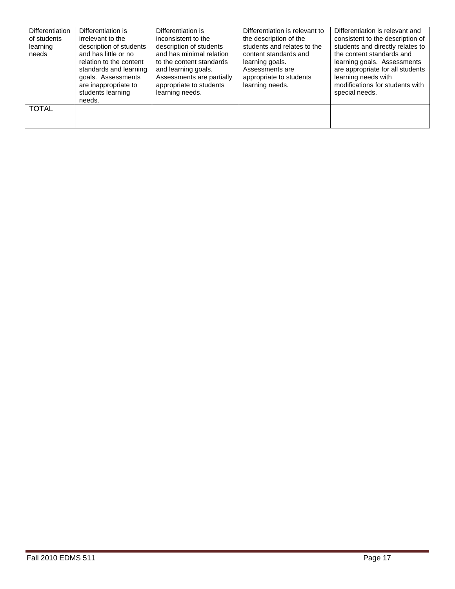| <b>Differentiation</b><br>of students<br>learning<br>needs | Differentiation is<br>irrelevant to the<br>description of students<br>and has little or no<br>relation to the content<br>standards and learning<br>goals. Assessments<br>are inappropriate to<br>students learning | Differentiation is<br>inconsistent to the<br>description of students<br>and has minimal relation<br>to the content standards<br>and learning goals.<br>Assessments are partially<br>appropriate to students<br>learning needs. | Differentiation is relevant to<br>the description of the<br>students and relates to the<br>content standards and<br>learning goals.<br>Assessments are<br>appropriate to students<br>learning needs. | Differentiation is relevant and<br>consistent to the description of<br>students and directly relates to<br>the content standards and<br>learning goals. Assessments<br>are appropriate for all students<br>learning needs with<br>modifications for students with<br>special needs. |
|------------------------------------------------------------|--------------------------------------------------------------------------------------------------------------------------------------------------------------------------------------------------------------------|--------------------------------------------------------------------------------------------------------------------------------------------------------------------------------------------------------------------------------|------------------------------------------------------------------------------------------------------------------------------------------------------------------------------------------------------|-------------------------------------------------------------------------------------------------------------------------------------------------------------------------------------------------------------------------------------------------------------------------------------|
| <b>TOTAL</b>                                               | needs.                                                                                                                                                                                                             |                                                                                                                                                                                                                                |                                                                                                                                                                                                      |                                                                                                                                                                                                                                                                                     |
|                                                            |                                                                                                                                                                                                                    |                                                                                                                                                                                                                                |                                                                                                                                                                                                      |                                                                                                                                                                                                                                                                                     |
|                                                            |                                                                                                                                                                                                                    |                                                                                                                                                                                                                                |                                                                                                                                                                                                      |                                                                                                                                                                                                                                                                                     |
|                                                            |                                                                                                                                                                                                                    |                                                                                                                                                                                                                                |                                                                                                                                                                                                      |                                                                                                                                                                                                                                                                                     |
|                                                            |                                                                                                                                                                                                                    |                                                                                                                                                                                                                                |                                                                                                                                                                                                      |                                                                                                                                                                                                                                                                                     |
|                                                            |                                                                                                                                                                                                                    |                                                                                                                                                                                                                                |                                                                                                                                                                                                      |                                                                                                                                                                                                                                                                                     |
|                                                            |                                                                                                                                                                                                                    |                                                                                                                                                                                                                                |                                                                                                                                                                                                      |                                                                                                                                                                                                                                                                                     |
|                                                            |                                                                                                                                                                                                                    |                                                                                                                                                                                                                                |                                                                                                                                                                                                      |                                                                                                                                                                                                                                                                                     |
|                                                            |                                                                                                                                                                                                                    |                                                                                                                                                                                                                                |                                                                                                                                                                                                      |                                                                                                                                                                                                                                                                                     |
|                                                            |                                                                                                                                                                                                                    |                                                                                                                                                                                                                                |                                                                                                                                                                                                      |                                                                                                                                                                                                                                                                                     |
|                                                            |                                                                                                                                                                                                                    |                                                                                                                                                                                                                                |                                                                                                                                                                                                      |                                                                                                                                                                                                                                                                                     |
|                                                            |                                                                                                                                                                                                                    |                                                                                                                                                                                                                                |                                                                                                                                                                                                      |                                                                                                                                                                                                                                                                                     |
|                                                            |                                                                                                                                                                                                                    |                                                                                                                                                                                                                                |                                                                                                                                                                                                      |                                                                                                                                                                                                                                                                                     |
|                                                            |                                                                                                                                                                                                                    |                                                                                                                                                                                                                                |                                                                                                                                                                                                      |                                                                                                                                                                                                                                                                                     |
|                                                            |                                                                                                                                                                                                                    |                                                                                                                                                                                                                                |                                                                                                                                                                                                      |                                                                                                                                                                                                                                                                                     |
|                                                            |                                                                                                                                                                                                                    |                                                                                                                                                                                                                                |                                                                                                                                                                                                      |                                                                                                                                                                                                                                                                                     |
|                                                            |                                                                                                                                                                                                                    |                                                                                                                                                                                                                                |                                                                                                                                                                                                      |                                                                                                                                                                                                                                                                                     |
|                                                            |                                                                                                                                                                                                                    |                                                                                                                                                                                                                                |                                                                                                                                                                                                      |                                                                                                                                                                                                                                                                                     |
|                                                            |                                                                                                                                                                                                                    |                                                                                                                                                                                                                                |                                                                                                                                                                                                      |                                                                                                                                                                                                                                                                                     |
|                                                            |                                                                                                                                                                                                                    |                                                                                                                                                                                                                                |                                                                                                                                                                                                      |                                                                                                                                                                                                                                                                                     |
|                                                            |                                                                                                                                                                                                                    |                                                                                                                                                                                                                                |                                                                                                                                                                                                      |                                                                                                                                                                                                                                                                                     |
|                                                            |                                                                                                                                                                                                                    |                                                                                                                                                                                                                                |                                                                                                                                                                                                      |                                                                                                                                                                                                                                                                                     |
|                                                            |                                                                                                                                                                                                                    |                                                                                                                                                                                                                                |                                                                                                                                                                                                      |                                                                                                                                                                                                                                                                                     |
|                                                            |                                                                                                                                                                                                                    |                                                                                                                                                                                                                                |                                                                                                                                                                                                      |                                                                                                                                                                                                                                                                                     |
|                                                            |                                                                                                                                                                                                                    |                                                                                                                                                                                                                                |                                                                                                                                                                                                      |                                                                                                                                                                                                                                                                                     |
|                                                            |                                                                                                                                                                                                                    |                                                                                                                                                                                                                                |                                                                                                                                                                                                      |                                                                                                                                                                                                                                                                                     |
|                                                            |                                                                                                                                                                                                                    |                                                                                                                                                                                                                                |                                                                                                                                                                                                      |                                                                                                                                                                                                                                                                                     |
| Fall 2010 EDMS 511                                         |                                                                                                                                                                                                                    |                                                                                                                                                                                                                                |                                                                                                                                                                                                      | Page 17                                                                                                                                                                                                                                                                             |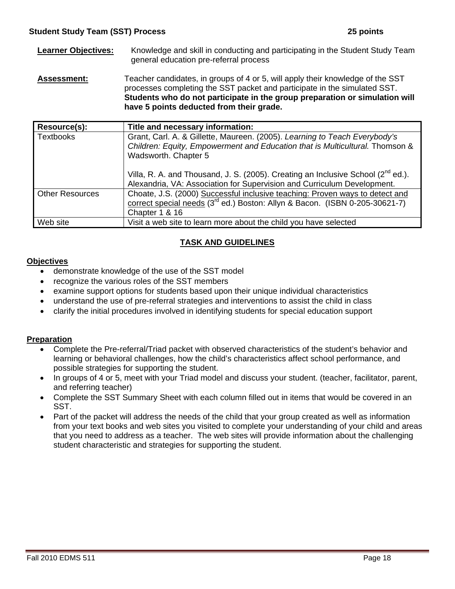- **Learner Objectives:** Knowledge and skill in conducting and participating in the Student Study Team general education pre-referral process
- **Assessment:** Teacher candidates, in groups of 4 or 5, will apply their knowledge of the SST processes completing the SST packet and participate in the simulated SST. **Students who do not participate in the group preparation or simulation will have 5 points deducted from their grade.**

| Resource(s):           | Title and necessary information:                                                        |  |  |  |
|------------------------|-----------------------------------------------------------------------------------------|--|--|--|
| <b>Textbooks</b>       | Grant, Carl. A. & Gillette, Maureen. (2005). Learning to Teach Everybody's              |  |  |  |
|                        | Children: Equity, Empowerment and Education that is Multicultural. Thomson &            |  |  |  |
|                        | Wadsworth. Chapter 5                                                                    |  |  |  |
|                        | Villa, R. A. and Thousand, J. S. (2005). Creating an Inclusive School ( $2^{nd}$ ed.).  |  |  |  |
|                        | Alexandria, VA: Association for Supervision and Curriculum Development.                 |  |  |  |
| <b>Other Resources</b> | Choate, J.S. (2000) Successful inclusive teaching: Proven ways to detect and            |  |  |  |
|                        | correct special needs (3 <sup>rd</sup> ed.) Boston: Allyn & Bacon. (ISBN 0-205-30621-7) |  |  |  |
|                        | Chapter 1 & 16                                                                          |  |  |  |
| Web site               | Visit a web site to learn more about the child you have selected                        |  |  |  |

# **TASK AND GUIDELINES**

# **Objectives**

- demonstrate knowledge of the use of the SST model
- recognize the various roles of the SST members
- examine support options for students based upon their unique individual characteristics
- understand the use of pre-referral strategies and interventions to assist the child in class
- clarify the initial procedures involved in identifying students for special education support

# **Preparation**

- Complete the Pre-referral/Triad packet with observed characteristics of the student's behavior and learning or behavioral challenges, how the child's characteristics affect school performance, and possible strategies for supporting the student.
- In groups of 4 or 5, meet with your Triad model and discuss your student. (teacher, facilitator, parent, and referring teacher)
- Complete the SST Summary Sheet with each column filled out in items that would be covered in an SST.
- Part of the packet will address the needs of the child that your group created as well as information from your text books and web sites you visited to complete your understanding of your child and areas that you need to address as a teacher. The web sites will provide information about the challenging student characteristic and strategies for supporting the student.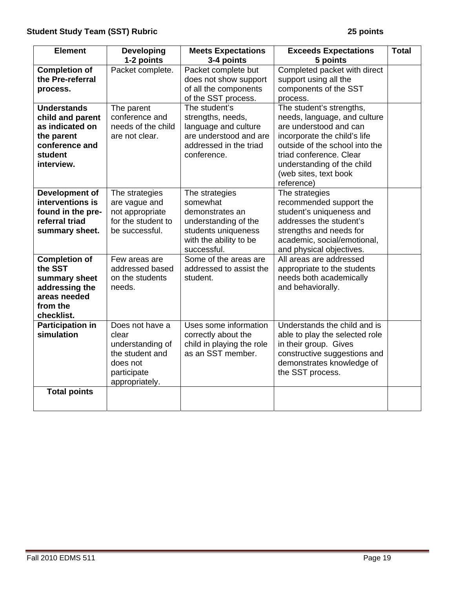| <b>Element</b>                      | <b>Developing</b>                     | <b>Meets Expectations</b>                     | <b>Exceeds Expectations</b>                             | <b>Total</b> |
|-------------------------------------|---------------------------------------|-----------------------------------------------|---------------------------------------------------------|--------------|
|                                     | 1-2 points                            | 3-4 points                                    | 5 points                                                |              |
| <b>Completion of</b>                | Packet complete.                      | Packet complete but                           | Completed packet with direct                            |              |
| the Pre-referral                    |                                       | does not show support                         | support using all the                                   |              |
| process.                            |                                       | of all the components                         | components of the SST                                   |              |
|                                     |                                       | of the SST process.                           | process.                                                |              |
| <b>Understands</b>                  | The parent                            | The student's                                 | The student's strengths,                                |              |
| child and parent                    | conference and                        | strengths, needs,                             | needs, language, and culture                            |              |
| as indicated on                     | needs of the child                    | language and culture                          | are understood and can                                  |              |
| the parent                          | are not clear.                        | are understood and are                        | incorporate the child's life                            |              |
| conference and                      |                                       | addressed in the triad                        | outside of the school into the                          |              |
| student                             |                                       | conference.                                   | triad conference. Clear                                 |              |
| interview.                          |                                       |                                               | understanding of the child                              |              |
|                                     |                                       |                                               | (web sites, text book                                   |              |
|                                     |                                       |                                               | reference)                                              |              |
| Development of                      | The strategies                        | The strategies                                | The strategies                                          |              |
| interventions is                    | are vague and                         | somewhat                                      | recommended support the                                 |              |
| found in the pre-<br>referral triad | not appropriate<br>for the student to | demonstrates an                               | student's uniqueness and<br>addresses the student's     |              |
|                                     | be successful.                        | understanding of the                          |                                                         |              |
| summary sheet.                      |                                       | students uniqueness<br>with the ability to be | strengths and needs for                                 |              |
|                                     |                                       | successful.                                   | academic, social/emotional,<br>and physical objectives. |              |
| <b>Completion of</b>                | Few areas are                         | Some of the areas are                         | All areas are addressed                                 |              |
| the SST                             | addressed based                       | addressed to assist the                       | appropriate to the students                             |              |
| summary sheet                       | on the students                       | student.                                      | needs both academically                                 |              |
| addressing the                      | needs.                                |                                               | and behaviorally.                                       |              |
| areas needed                        |                                       |                                               |                                                         |              |
| from the                            |                                       |                                               |                                                         |              |
| checklist.                          |                                       |                                               |                                                         |              |
| <b>Participation in</b>             | Does not have a                       | Uses some information                         | Understands the child and is                            |              |
| simulation                          | clear                                 | correctly about the                           | able to play the selected role                          |              |
|                                     | understanding of                      | child in playing the role                     | in their group. Gives                                   |              |
|                                     | the student and                       | as an SST member.                             | constructive suggestions and                            |              |
|                                     | does not                              |                                               | demonstrates knowledge of                               |              |
|                                     | participate                           |                                               | the SST process.                                        |              |
|                                     | appropriately.                        |                                               |                                                         |              |
| <b>Total points</b>                 |                                       |                                               |                                                         |              |
|                                     |                                       |                                               |                                                         |              |